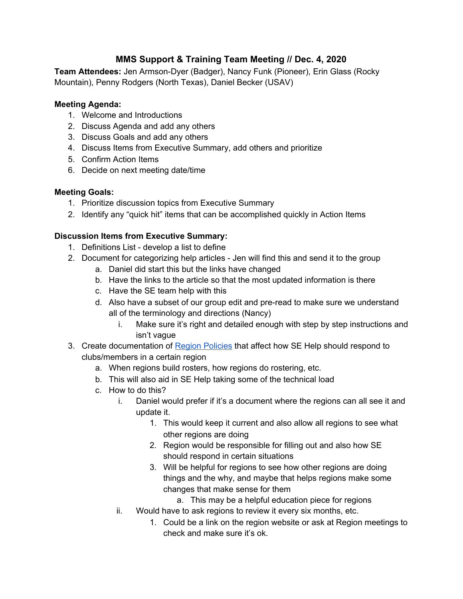# **MMS Support & Training Team Meeting // Dec. 4, 2020**

**Team Attendees:** Jen Armson-Dyer (Badger), Nancy Funk (Pioneer), Erin Glass (Rocky Mountain), Penny Rodgers (North Texas), Daniel Becker (USAV)

#### **Meeting Agenda:**

- 1. Welcome and Introductions
- 2. Discuss Agenda and add any others
- 3. Discuss Goals and add any others
- 4. Discuss Items from Executive Summary, add others and prioritize
- 5. Confirm Action Items
- 6. Decide on next meeting date/time

### **Meeting Goals:**

- 1. Prioritize discussion topics from Executive Summary
- 2. Identify any "quick hit" items that can be accomplished quickly in Action Items

### **Discussion Items from Executive Summary:**

- 1. Definitions List develop a list to define
- 2. Document for categorizing help articles Jen will find this and send it to the group
	- a. Daniel did start this but the links have changed
	- b. Have the links to the article so that the most updated information is there
	- c. Have the SE team help with this
	- d. Also have a subset of our group edit and pre-read to make sure we understand all of the terminology and directions (Nancy)
		- i. Make sure it's right and detailed enough with step by step instructions and isn't vague
- 3. Create documentation of Region [Policies](https://docs.google.com/document/d/1ldA1UfMVdF85en6DO7Kp4nhzYGVn55e7bRShbAKbOZg/edit?usp=sharing) that affect how SE Help should respond to clubs/members in a certain region
	- a. When regions build rosters, how regions do rostering, etc.
	- b. This will also aid in SE Help taking some of the technical load
	- c. How to do this?
		- i. Daniel would prefer if it's a document where the regions can all see it and update it.
			- 1. This would keep it current and also allow all regions to see what other regions are doing
			- 2. Region would be responsible for filling out and also how SE should respond in certain situations
			- 3. Will be helpful for regions to see how other regions are doing things and the why, and maybe that helps regions make some changes that make sense for them
				- a. This may be a helpful education piece for regions
		- ii. Would have to ask regions to review it every six months, etc.
			- 1. Could be a link on the region website or ask at Region meetings to check and make sure it's ok.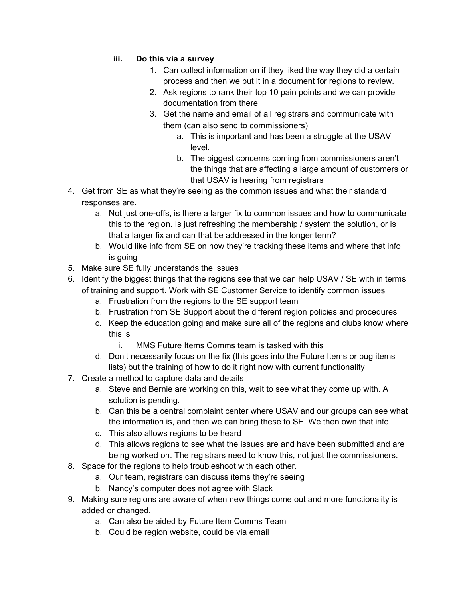### **iii. Do this via a survey**

- 1. Can collect information on if they liked the way they did a certain process and then we put it in a document for regions to review.
- 2. Ask regions to rank their top 10 pain points and we can provide documentation from there
- 3. Get the name and email of all registrars and communicate with them (can also send to commissioners)
	- a. This is important and has been a struggle at the USAV level.
	- b. The biggest concerns coming from commissioners aren't the things that are affecting a large amount of customers or that USAV is hearing from registrars
- 4. Get from SE as what they're seeing as the common issues and what their standard responses are.
	- a. Not just one-offs, is there a larger fix to common issues and how to communicate this to the region. Is just refreshing the membership / system the solution, or is that a larger fix and can that be addressed in the longer term?
	- b. Would like info from SE on how they're tracking these items and where that info is going
- 5. Make sure SE fully understands the issues
- 6. Identify the biggest things that the regions see that we can help USAV / SE with in terms of training and support. Work with SE Customer Service to identify common issues
	- a. Frustration from the regions to the SE support team
	- b. Frustration from SE Support about the different region policies and procedures
	- c. Keep the education going and make sure all of the regions and clubs know where this is
		- i. MMS Future Items Comms team is tasked with this
	- d. Don't necessarily focus on the fix (this goes into the Future Items or bug items lists) but the training of how to do it right now with current functionality
- 7. Create a method to capture data and details
	- a. Steve and Bernie are working on this, wait to see what they come up with. A solution is pending.
	- b. Can this be a central complaint center where USAV and our groups can see what the information is, and then we can bring these to SE. We then own that info.
	- c. This also allows regions to be heard
	- d. This allows regions to see what the issues are and have been submitted and are being worked on. The registrars need to know this, not just the commissioners.
- 8. Space for the regions to help troubleshoot with each other.
	- a. Our team, registrars can discuss items they're seeing
	- b. Nancy's computer does not agree with Slack
- 9. Making sure regions are aware of when new things come out and more functionality is added or changed.
	- a. Can also be aided by Future Item Comms Team
	- b. Could be region website, could be via email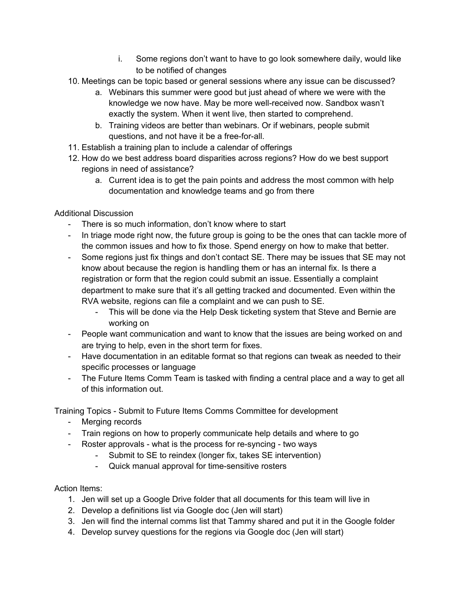- i. Some regions don't want to have to go look somewhere daily, would like to be notified of changes
- 10. Meetings can be topic based or general sessions where any issue can be discussed?
	- a. Webinars this summer were good but just ahead of where we were with the knowledge we now have. May be more well-received now. Sandbox wasn't exactly the system. When it went live, then started to comprehend.
	- b. Training videos are better than webinars. Or if webinars, people submit questions, and not have it be a free-for-all.
- 11. Establish a training plan to include a calendar of offerings
- 12. How do we best address board disparities across regions? How do we best support regions in need of assistance?
	- a. Current idea is to get the pain points and address the most common with help documentation and knowledge teams and go from there

Additional Discussion

- There is so much information, don't know where to start
- In triage mode right now, the future group is going to be the ones that can tackle more of the common issues and how to fix those. Spend energy on how to make that better.
- Some regions just fix things and don't contact SE. There may be issues that SE may not know about because the region is handling them or has an internal fix. Is there a registration or form that the region could submit an issue. Essentially a complaint department to make sure that it's all getting tracked and documented. Even within the RVA website, regions can file a complaint and we can push to SE.
	- This will be done via the Help Desk ticketing system that Steve and Bernie are working on
- People want communication and want to know that the issues are being worked on and are trying to help, even in the short term for fixes.
- Have documentation in an editable format so that regions can tweak as needed to their specific processes or language
- The Future Items Comm Team is tasked with finding a central place and a way to get all of this information out.

Training Topics - Submit to Future Items Comms Committee for development

- Merging records
- Train regions on how to properly communicate help details and where to go
- Roster approvals what is the process for re-syncing two ways
	- Submit to SE to reindex (longer fix, takes SE intervention)
	- Quick manual approval for time-sensitive rosters

## Action Items:

- 1. Jen will set up a Google Drive folder that all documents for this team will live in
- 2. Develop a definitions list via Google doc (Jen will start)
- 3. Jen will find the internal comms list that Tammy shared and put it in the Google folder
- 4. Develop survey questions for the regions via Google doc (Jen will start)